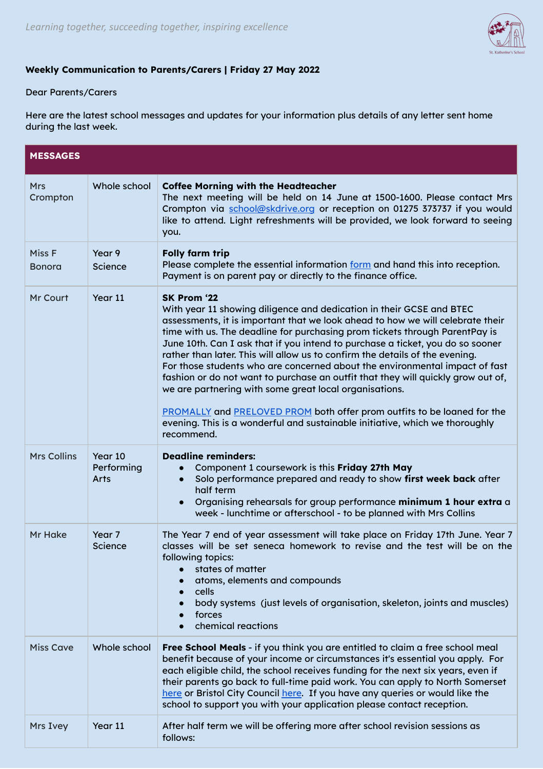

## **Weekly Communication to Parents/Carers | Friday 27 May 2022**

## Dear Parents/Carers

Here are the latest school messages and updates for your information plus details of any letter sent home during the last week.

| <b>MESSAGES</b>         |                               |                                                                                                                                                                                                                                                                                                                                                                                                                                                                                                                                                                                                                                                                                                                                                                                                                                     |  |
|-------------------------|-------------------------------|-------------------------------------------------------------------------------------------------------------------------------------------------------------------------------------------------------------------------------------------------------------------------------------------------------------------------------------------------------------------------------------------------------------------------------------------------------------------------------------------------------------------------------------------------------------------------------------------------------------------------------------------------------------------------------------------------------------------------------------------------------------------------------------------------------------------------------------|--|
| <b>Mrs</b><br>Crompton  | Whole school                  | <b>Coffee Morning with the Headteacher</b><br>The next meeting will be held on 14 June at 1500-1600. Please contact Mrs<br>Crompton via school@skdrive.org or reception on 01275 373737 if you would<br>like to attend. Light refreshments will be provided, we look forward to seeing<br>you.                                                                                                                                                                                                                                                                                                                                                                                                                                                                                                                                      |  |
| Miss F<br><b>Bonora</b> | Year 9<br>Science             | <b>Folly farm trip</b><br>Please complete the essential information form and hand this into reception.<br>Payment is on parent pay or directly to the finance office.                                                                                                                                                                                                                                                                                                                                                                                                                                                                                                                                                                                                                                                               |  |
| Mr Court                | Year 11                       | SK Prom '22<br>With year 11 showing diligence and dedication in their GCSE and BTEC<br>assessments, it is important that we look ahead to how we will celebrate their<br>time with us. The deadline for purchasing prom tickets through ParentPay is<br>June 10th. Can I ask that if you intend to purchase a ticket, you do so sooner<br>rather than later. This will allow us to confirm the details of the evening.<br>For those students who are concerned about the environmental impact of fast<br>fashion or do not want to purchase an outfit that they will quickly grow out of,<br>we are partnering with some great local organisations.<br><b>PROMALLY</b> and PRELOVED PROM both offer prom outfits to be loaned for the<br>evening. This is a wonderful and sustainable initiative, which we thoroughly<br>recommend. |  |
| <b>Mrs Collins</b>      | Year 10<br>Performing<br>Arts | <b>Deadline reminders:</b><br>Component 1 coursework is this Friday 27th May<br>Solo performance prepared and ready to show first week back after<br>half term<br>Organising rehearsals for group performance minimum 1 hour extra a<br>$\bullet$<br>week - lunchtime or afterschool - to be planned with Mrs Collins                                                                                                                                                                                                                                                                                                                                                                                                                                                                                                               |  |
| Mr Hake                 | Year 7<br>Science             | The Year 7 end of year assessment will take place on Friday 17th June. Year 7<br>classes will be set seneca homework to revise and the test will be on the<br>following topics:<br>states of matter<br>atoms, elements and compounds<br>cells<br>$\bullet$<br>body systems (just levels of organisation, skeleton, joints and muscles)<br>forces<br>chemical reactions                                                                                                                                                                                                                                                                                                                                                                                                                                                              |  |
| <b>Miss Cave</b>        | Whole school                  | Free School Meals - if you think you are entitled to claim a free school meal<br>benefit because of your income or circumstances it's essential you apply. For<br>each eligible child, the school receives funding for the next six years, even if<br>their parents go back to full-time paid work. You can apply to North Somerset<br>here or Bristol City Council here. If you have any queries or would like the<br>school to support you with your application please contact reception.                                                                                                                                                                                                                                                                                                                                        |  |
| Mrs Ivey                | Year 11                       | After half term we will be offering more after school revision sessions as<br>follows:                                                                                                                                                                                                                                                                                                                                                                                                                                                                                                                                                                                                                                                                                                                                              |  |